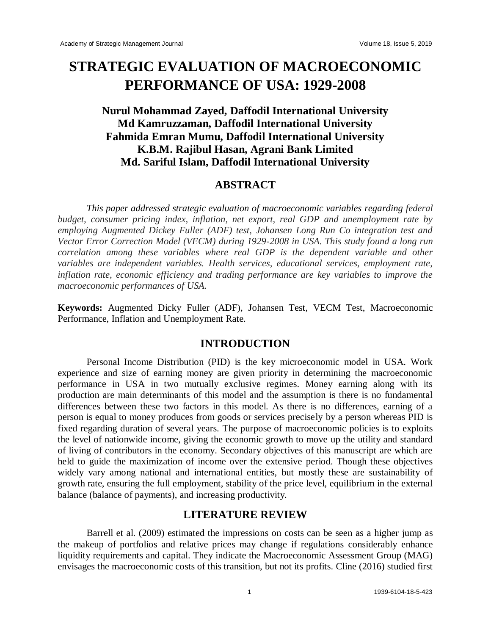# **STRATEGIC EVALUATION OF MACROECONOMIC PERFORMANCE OF USA: 1929-2008**

## **Nurul Mohammad Zayed, Daffodil International University Md Kamruzzaman, Daffodil International University Fahmida Emran Mumu, Daffodil International University K.B.M. Rajibul Hasan, Agrani Bank Limited Md. Sariful Islam, Daffodil International University**

## **ABSTRACT**

*This paper addressed strategic evaluation of macroeconomic variables regarding federal budget, consumer pricing index, inflation, net export, real GDP and unemployment rate by employing Augmented Dickey Fuller (ADF) test, Johansen Long Run Co integration test and Vector Error Correction Model (VECM) during 1929-2008 in USA. This study found a long run correlation among these variables where real GDP is the dependent variable and other variables are independent variables. Health services, educational services, employment rate, inflation rate, economic efficiency and trading performance are key variables to improve the macroeconomic performances of USA.*

**Keywords:** Augmented Dicky Fuller (ADF), Johansen Test, VECM Test, Macroeconomic Performance, Inflation and Unemployment Rate.

## **INTRODUCTION**

Personal Income Distribution (PID) is the key microeconomic model in USA. Work experience and size of earning money are given priority in determining the macroeconomic performance in USA in two mutually exclusive regimes. Money earning along with its production are main determinants of this model and the assumption is there is no fundamental differences between these two factors in this model. As there is no differences, earning of a person is equal to money produces from goods or services precisely by a person whereas PID is fixed regarding duration of several years. The purpose of macroeconomic policies is to exploits the level of nationwide income, giving the economic growth to move up the utility and standard of living of contributors in the economy. Secondary objectives of this manuscript are which are held to guide the maximization of income over the extensive period. Though these objectives widely vary among national and international entities, but mostly these are sustainability of growth rate, ensuring the full employment, stability of the price level, equilibrium in the external balance (balance of payments), and increasing productivity.

## **LITERATURE REVIEW**

Barrell et al. (2009) estimated the impressions on costs can be seen as a higher jump as the makeup of portfolios and relative prices may change if regulations considerably enhance liquidity requirements and capital. They indicate the Macroeconomic Assessment Group (MAG) envisages the macroeconomic costs of this transition, but not its profits. Cline (2016) studied first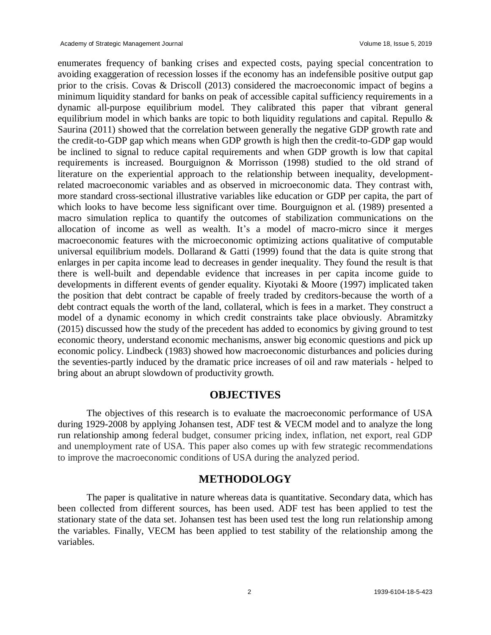enumerates frequency of banking crises and expected costs, paying special concentration to avoiding exaggeration of recession losses if the economy has an indefensible positive output gap prior to the crisis. Covas & Driscoll (2013) considered the macroeconomic impact of begins a minimum liquidity standard for banks on peak of accessible capital sufficiency requirements in a dynamic all-purpose equilibrium model. They calibrated this paper that vibrant general equilibrium model in which banks are topic to both liquidity regulations and capital. Repullo & Saurina (2011) showed that the correlation between generally the negative GDP growth rate and the credit-to-GDP gap which means when GDP growth is high then the credit-to-GDP gap would be inclined to signal to reduce capital requirements and when GDP growth is low that capital requirements is increased. Bourguignon & Morrisson (1998) studied to the old strand of literature on the experiential approach to the relationship between inequality, developmentrelated macroeconomic variables and as observed in microeconomic data. They contrast with, more standard cross-sectional illustrative variables like education or GDP per capita, the part of which looks to have become less significant over time. Bourguignon et al. (1989) presented a macro simulation replica to quantify the outcomes of stabilization communications on the allocation of income as well as wealth. It's a model of macro-micro since it merges macroeconomic features with the microeconomic optimizing actions qualitative of computable universal equilibrium models. Dollarand  $& G$ atti (1999) found that the data is quite strong that enlarges in per capita income lead to decreases in gender inequality. They found the result is that there is well-built and dependable evidence that increases in per capita income guide to developments in different events of gender equality. Kiyotaki & Moore (1997) implicated taken the position that debt contract be capable of freely traded by creditors-because the worth of a debt contract equals the worth of the land, collateral, which is fees in a market. They construct a model of a dynamic economy in which credit constraints take place obviously. Abramitzky (2015) discussed how the study of the precedent has added to economics by giving ground to test economic theory, understand economic mechanisms, answer big economic questions and pick up economic policy. Lindbeck (1983) showed how macroeconomic disturbances and policies during the seventies-partly induced by the dramatic price increases of oil and raw materials - helped to bring about an abrupt slowdown of productivity growth.

#### **OBJECTIVES**

The objectives of this research is to evaluate the macroeconomic performance of USA during 1929-2008 by applying Johansen test, ADF test & VECM model and to analyze the long run relationship among federal budget, consumer pricing index, inflation, net export, real GDP and unemployment rate of USA. This paper also comes up with few strategic recommendations to improve the macroeconomic conditions of USA during the analyzed period.

#### **METHODOLOGY**

The paper is qualitative in nature whereas data is quantitative. Secondary data, which has been collected from different sources, has been used. ADF test has been applied to test the stationary state of the data set. Johansen test has been used test the long run relationship among the variables. Finally, VECM has been applied to test stability of the relationship among the variables.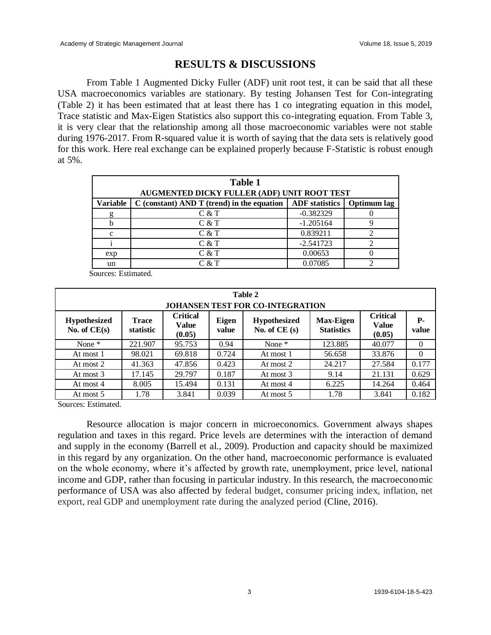## **RESULTS & DISCUSSIONS**

From Table 1 Augmented Dicky Fuller (ADF) unit root test, it can be said that all these USA macroeconomics variables are stationary. By testing Johansen Test for Con-integrating (Table 2) it has been estimated that at least there has 1 co integrating equation in this model, Trace statistic and Max-Eigen Statistics also support this co-integrating equation. From Table 3, it is very clear that the relationship among all those macroeconomic variables were not stable during 1976-2017. From R-squared value it is worth of saying that the data sets is relatively good for this work. Here real exchange can be explained properly because F-Statistic is robust enough at 5%.

| <b>Table 1</b><br>AUGMENTED DICKY FULLER (ADF) UNIT ROOT TEST |                                              |                       |             |  |  |  |
|---------------------------------------------------------------|----------------------------------------------|-----------------------|-------------|--|--|--|
| Variable                                                      | $C$ (constant) AND T (trend) in the equation | <b>ADF</b> statistics | Optimum lag |  |  |  |
|                                                               | C & T                                        | $-0.382329$           |             |  |  |  |
|                                                               | C & T                                        | $-1.205164$           |             |  |  |  |
| C                                                             | C & T                                        | 0.839211              |             |  |  |  |
|                                                               | C & T                                        | $-2.541723$           |             |  |  |  |
| exp                                                           | C & T                                        | 0.00653               |             |  |  |  |
| un                                                            | C & T                                        | 0.07085               |             |  |  |  |

Sources: Estimated.

| Table 2<br><b>JOHANSEN TEST FOR CO-INTEGRATION</b> |                           |                                           |                |                                       |                                       |                                           |             |  |  |
|----------------------------------------------------|---------------------------|-------------------------------------------|----------------|---------------------------------------|---------------------------------------|-------------------------------------------|-------------|--|--|
| <b>Hypothesized</b><br>No. of $CE(s)$              | <b>Trace</b><br>statistic | <b>Critical</b><br><b>Value</b><br>(0.05) | Eigen<br>value | <b>Hypothesized</b><br>No. of $CE(s)$ | <b>Max-Eigen</b><br><b>Statistics</b> | <b>Critical</b><br><b>Value</b><br>(0.05) | Р-<br>value |  |  |
| None *                                             | 221.907                   | 95.753                                    | 0.94           | None $*$                              | 123.885                               | 40.077                                    | $\theta$    |  |  |
| At most 1                                          | 98.021                    | 69.818                                    | 0.724          | At most 1                             | 56.658                                | 33.876                                    | $\theta$    |  |  |
| At most 2                                          | 41.363                    | 47.856                                    | 0.423          | At most 2                             | 24.217                                | 27.584                                    | 0.177       |  |  |
| At most 3                                          | 17.145                    | 29.797                                    | 0.187          | At most 3                             | 9.14                                  | 21.131                                    | 0.629       |  |  |
| At most 4                                          | 8.005                     | 15.494                                    | 0.131          | At most 4                             | 6.225                                 | 14.264                                    | 0.464       |  |  |
| At most 5                                          | 1.78                      | 3.841                                     | 0.039          | At most 5                             | 1.78                                  | 3.841                                     | 0.182       |  |  |

Sources: Estimated.

Resource allocation is major concern in microeconomics. Government always shapes regulation and taxes in this regard. Price levels are determines with the interaction of demand and supply in the economy (Barrell et al., 2009). Production and capacity should be maximized in this regard by any organization. On the other hand, macroeconomic performance is evaluated on the whole economy, where it's affected by growth rate, unemployment, price level, national income and GDP, rather than focusing in particular industry. In this research, the macroeconomic performance of USA was also affected by federal budget, consumer pricing index, inflation, net export, real GDP and unemployment rate during the analyzed period (Cline, 2016).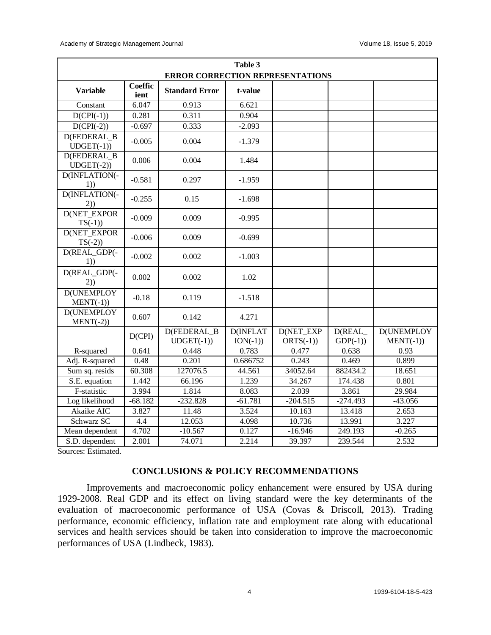| Table 3                                 |                        |                                     |                              |                                 |                     |                                  |  |
|-----------------------------------------|------------------------|-------------------------------------|------------------------------|---------------------------------|---------------------|----------------------------------|--|
| <b>ERROR CORRECTION REPRESENTATIONS</b> |                        |                                     |                              |                                 |                     |                                  |  |
| <b>Variable</b>                         | <b>Coeffic</b><br>ient | <b>Standard Error</b>               | t-value                      |                                 |                     |                                  |  |
| Constant                                | 6.047                  | 0.913                               | 6.621                        |                                 |                     |                                  |  |
| $D(CPI(-1))$                            | 0.281                  | 0.311                               | 0.904                        |                                 |                     |                                  |  |
| $D(CPI(-2))$                            | $-0.697$               | 0.333                               | $-2.093$                     |                                 |                     |                                  |  |
| <b>D(FEDERAL B)</b><br>$UDGET(-1))$     | $-0.005$               | 0.004                               | $-1.379$                     |                                 |                     |                                  |  |
| <b>D(FEDERAL B)</b><br>$UDGET(-2))$     | 0.006                  | 0.004                               | 1.484                        |                                 |                     |                                  |  |
| D(INFLATION(-<br>1)                     | $-0.581$               | 0.297                               | $-1.959$                     |                                 |                     |                                  |  |
| D(INFLATION(-<br>(2))                   | $-0.255$               | 0.15                                | $-1.698$                     |                                 |                     |                                  |  |
| <b>D(NET EXPOR</b><br>$TS(-1)$          | $-0.009$               | 0.009                               | $-0.995$                     |                                 |                     |                                  |  |
| <b>D(NET EXPOR</b><br>$TS(-2)$          | $-0.006$               | 0.009                               | $-0.699$                     |                                 |                     |                                  |  |
| D(REAL_GDP(-<br>1)                      | $-0.002$               | 0.002                               | $-1.003$                     |                                 |                     |                                  |  |
| D(REAL_GDP(-<br>(2))                    | 0.002                  | 0.002                               | 1.02                         |                                 |                     |                                  |  |
| <b>D(UNEMPLOY</b><br>$MENT(-1))$        | $-0.18$                | 0.119                               | $-1.518$                     |                                 |                     |                                  |  |
| <b>D(UNEMPLOY</b><br>$MENT(-2))$        | 0.607                  | 0.142                               | 4.271                        |                                 |                     |                                  |  |
|                                         | D(CPI)                 | <b>D(FEDERAL B)</b><br>$UDGET(-1))$ | <b>D(INFLAT</b><br>$ION(-1)$ | <b>D(NET EXP</b><br>$ORTS(-1))$ | D(REAL<br>$GDP(-1)$ | <b>D(UNEMPLOY</b><br>$MENT(-1))$ |  |
| R-squared                               | 0.641                  | 0.448                               | 0.783                        | 0.477                           | 0.638               | 0.93                             |  |
| Adj. R-squared                          | 0.48                   | 0.201                               | 0.686752                     | 0.243                           | 0.469               | 0.899                            |  |
| Sum sq. resids                          | 60.308                 | 127076.5                            | 44.561                       | 34052.64                        | 882434.2            | 18.651                           |  |
| S.E. equation                           | 1.442                  | 66.196                              | 1.239                        | 34.267                          | 174.438             | 0.801                            |  |
| F-statistic                             | 3.994                  | 1.814                               | 8.083                        | 2.039                           | 3.861               | 29.984                           |  |
| Log likelihood                          | $-68.182$              | $-232.828$                          | $-61.781$                    | $-204.515$                      | $-274.493$          | $-43.056$                        |  |
| Akaike AIC                              | 3.827                  | 11.48                               | 3.524                        | 10.163                          | 13.418              | 2.653                            |  |
| Schwarz SC                              | 4.4                    | 12.053                              | 4.098                        | 10.736                          | 13.991              | 3.227                            |  |
| Mean dependent                          | 4.702                  | $-10.567$                           | 0.127                        | $-16.946$                       | 249.193             | $-0.265$                         |  |
| S.D. dependent                          | 2.001                  | 74.071                              | 2.214                        | 39.397                          | 239.544             | 2.532                            |  |

Sources: Estimated.

#### **CONCLUSIONS & POLICY RECOMMENDATIONS**

Improvements and macroeconomic policy enhancement were ensured by USA during 1929-2008. Real GDP and its effect on living standard were the key determinants of the evaluation of macroeconomic performance of USA (Covas & Driscoll, 2013). Trading performance, economic efficiency, inflation rate and employment rate along with educational services and health services should be taken into consideration to improve the macroeconomic performances of USA (Lindbeck, 1983).